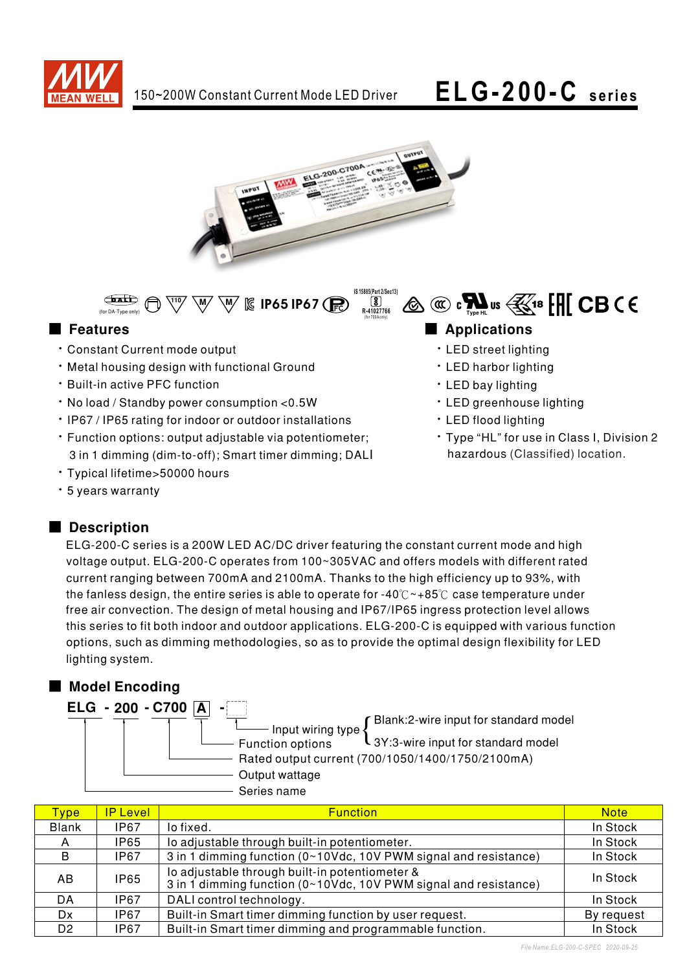



**IS 15885(Part 2/Sec13)** <u>لكا</u><br>R-41027766 (for 700A only)

 $\overline{\mathbb{W}}$   $\overline{\mathbb{W}}$   $\overline{\mathbb{W}}$  is ip65 ip67 (R)  $\bigoplus$ (for DA-Type only)

- **Constant Current mode output**
- . Metal housing design with functional Ground
- **· Built-in active PFC function**
- . No load / Standby power consumption < 0.5W
- IP67 / IP65 rating for indoor or outdoor installations
- Function options: output adjustable via potentiometer; 3 in 1 dimming (dim-to-off); Smart timer dimming; DALI

-

- · Typical lifetime>50000 hours
- · 5 years warranty

### Description

ELG-200-C series is a 200W LED AC/DC driver featuring the constant current mode and high voltage output. ELG-200-C operates from 100~305VAC and offers models with different rated current ranging between 700mA and 2100mA. Thanks to the high efficiency up to 93%, with the fanless design, the entire series is able to operate for -40 $\degree$  ~+85 $\degree$ C case temperature under free air convection. The design of metal housing and IP67/IP65 ingress protection level allows this series to fit both indoor and outdoor applications. ELG-200-C is equipped with various function options, such as dimming methodologies, so as to provide the optimal design flexibility for LED lighting system.

### ■ Model Encoding

ELG - 200 - C700 A

Input wiring type Blank:2-wire input for standard model

- **Function options** 3Y:3-wire input for standard model
- Rated output current (700/1050/1400/1750/2100mA)
- Output wattage
- Series name

| <b>Type</b>    | <b>IP Level</b> | <b>Function</b>                                                                                                    | <b>Note</b> |
|----------------|-----------------|--------------------------------------------------------------------------------------------------------------------|-------------|
| <b>Blank</b>   | IP67            | lo fixed.                                                                                                          | In Stock    |
| A              | IP65            | lo adjustable through built-in potentiometer.                                                                      | In Stock    |
| B              | IP67            | 3 in 1 dimming function (0~10Vdc, 10V PWM signal and resistance)                                                   | In Stock    |
| AB             | <b>IP65</b>     | lo adjustable through built-in potentiometer &<br>3 in 1 dimming function (0~10Vdc, 10V PWM signal and resistance) | In Stock    |
| DA             | <b>IP67</b>     | DALI control technology.                                                                                           | In Stock    |
| Dx             | <b>IP67</b>     | Built-in Smart timer dimming function by user request.                                                             | By request  |
| D <sub>2</sub> | IP67            | Built-in Smart timer dimming and programmable function.                                                            | In Stock    |

### ■ Features **■ Propriations**

- **· LED street lighting**
- LED harbor lighting
- · LED bay lighting
- **· LED greenhouse lighting**

 $\text{A} \otimes \text{B}$   $\text{C}$   $\text{C}$   $\text{D}$   $\text{C}$   $\text{D}$   $\text{C}$   $\text{D}$   $\text{C}$   $\text{D}$   $\text{C}$   $\text{D}$   $\text{D}$   $\text{C}$   $\text{D}$   $\text{C}$   $\text{D}$   $\text{D}$   $\text{D}$   $\text{D}$   $\text{D}$   $\text{D}$   $\text{D}$   $\text{D}$   $\text{D}$   $\text{D}$   $\text{D$ 

- LED flood lighting
- · Type "HL" for use in Class I, Division 2 hazardous (Classified) location.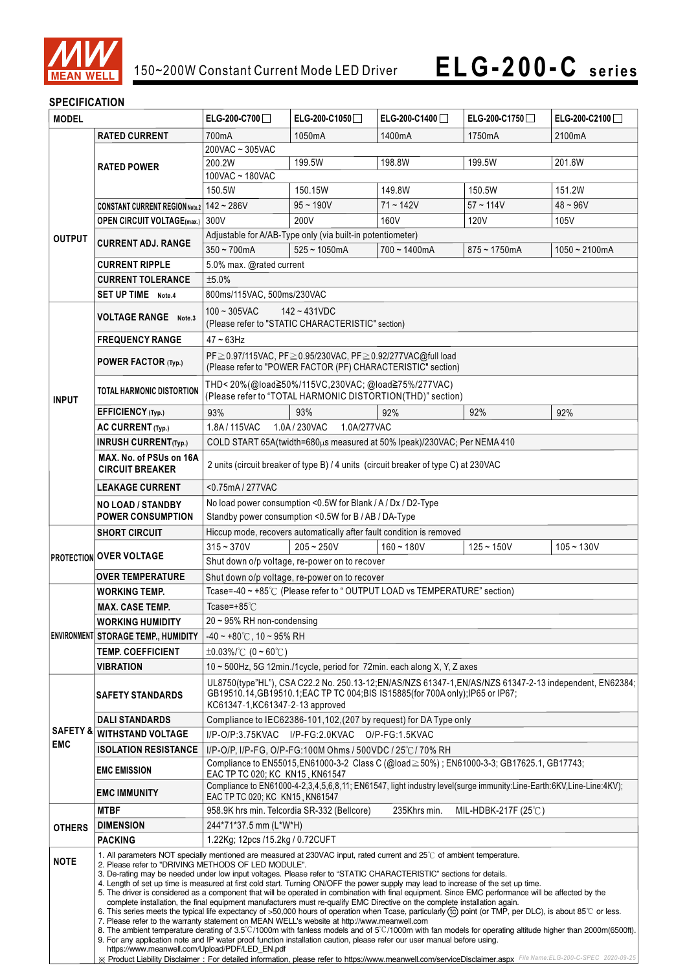

### **SPECIFICATION**

| <b>MODEL</b>         |                                                                                                                                                                                                                 | ELG-200-C700                                                                                                                                                                                                                                                                      | ELG-200-C1050                                                | ELG-200-C1400                                                           | ELG-200-C1750       | ELG-200-C2100    |  |
|----------------------|-----------------------------------------------------------------------------------------------------------------------------------------------------------------------------------------------------------------|-----------------------------------------------------------------------------------------------------------------------------------------------------------------------------------------------------------------------------------------------------------------------------------|--------------------------------------------------------------|-------------------------------------------------------------------------|---------------------|------------------|--|
| <b>RATED CURRENT</b> |                                                                                                                                                                                                                 | 700mA                                                                                                                                                                                                                                                                             | 1050 <sub>m</sub> A                                          | 1400mA                                                                  | 1750 <sub>m</sub> A | 2100mA           |  |
|                      |                                                                                                                                                                                                                 | 200VAC ~ 305VAC                                                                                                                                                                                                                                                                   |                                                              |                                                                         |                     |                  |  |
|                      | <b>RATED POWER</b>                                                                                                                                                                                              | 199.5W<br>199.5W<br>200.2W<br>198.8W<br>201.6W                                                                                                                                                                                                                                    |                                                              |                                                                         |                     |                  |  |
|                      |                                                                                                                                                                                                                 | 100VAC ~ 180VAC                                                                                                                                                                                                                                                                   |                                                              |                                                                         |                     |                  |  |
|                      |                                                                                                                                                                                                                 | 150.5W                                                                                                                                                                                                                                                                            | 150.15W                                                      | 149.8W                                                                  | 150.5W              | 151.2W           |  |
|                      | CONSTANT CURRENT REGION Note.2 142 ~ 286V                                                                                                                                                                       |                                                                                                                                                                                                                                                                                   | $95 - 190V$                                                  | $71 - 142V$                                                             | $57 - 114V$         | $48 - 96V$       |  |
|                      | <b>OPEN CIRCUIT VOLTAGE(max.)</b> 300V                                                                                                                                                                          |                                                                                                                                                                                                                                                                                   | 200V                                                         | 160V                                                                    | 120V                | 105V             |  |
| <b>OUTPUT</b>        | <b>CURRENT ADJ. RANGE</b>                                                                                                                                                                                       |                                                                                                                                                                                                                                                                                   | Adjustable for A/AB-Type only (via built-in potentiometer)   |                                                                         |                     |                  |  |
|                      |                                                                                                                                                                                                                 | $350 - 700$ mA                                                                                                                                                                                                                                                                    | $525 - 1050mA$                                               | $700 - 1400mA$                                                          | $875 - 1750$ mA     | $1050 - 2100$ mA |  |
|                      | <b>CURRENT RIPPLE</b>                                                                                                                                                                                           | 5.0% max. @rated current                                                                                                                                                                                                                                                          |                                                              |                                                                         |                     |                  |  |
|                      | <b>CURRENT TOLERANCE</b>                                                                                                                                                                                        | ±5.0%                                                                                                                                                                                                                                                                             |                                                              |                                                                         |                     |                  |  |
|                      | <b>SET UP TIME</b> Note.4                                                                                                                                                                                       | 800ms/115VAC, 500ms/230VAC                                                                                                                                                                                                                                                        |                                                              |                                                                         |                     |                  |  |
|                      |                                                                                                                                                                                                                 | $100 - 305$ VAC<br>$142 - 431VDC$                                                                                                                                                                                                                                                 |                                                              |                                                                         |                     |                  |  |
|                      | <b>VOLTAGE RANGE</b> Note.3                                                                                                                                                                                     | (Please refer to "STATIC CHARACTERISTIC" section)                                                                                                                                                                                                                                 |                                                              |                                                                         |                     |                  |  |
|                      | <b>FREQUENCY RANGE</b>                                                                                                                                                                                          | $47 \sim 63$ Hz                                                                                                                                                                                                                                                                   |                                                              |                                                                         |                     |                  |  |
|                      |                                                                                                                                                                                                                 | PF≥0.97/115VAC, PF≥0.95/230VAC, PF≥0.92/277VAC@full load                                                                                                                                                                                                                          |                                                              |                                                                         |                     |                  |  |
|                      | POWER FACTOR (Typ.)                                                                                                                                                                                             |                                                                                                                                                                                                                                                                                   | (Please refer to "POWER FACTOR (PF) CHARACTERISTIC" section) |                                                                         |                     |                  |  |
|                      |                                                                                                                                                                                                                 | THD<20%(@load≧50%/115VC,230VAC;@load≧75%/277VAC)                                                                                                                                                                                                                                  |                                                              |                                                                         |                     |                  |  |
| <b>INPUT</b>         | TOTAL HARMONIC DISTORTION                                                                                                                                                                                       |                                                                                                                                                                                                                                                                                   |                                                              | (Please refer to "TOTAL HARMONIC DISTORTION(THD)" section)              |                     |                  |  |
|                      | EFFICIENCY (Typ.)                                                                                                                                                                                               | 93%                                                                                                                                                                                                                                                                               | 93%                                                          | 92%                                                                     | 92%                 | 92%              |  |
|                      | AC CURRENT (Typ.)                                                                                                                                                                                               | 1.8A/115VAC                                                                                                                                                                                                                                                                       | 1.0A / 230VAC<br>1.0A/277VAC                                 |                                                                         |                     |                  |  |
|                      | <b>INRUSH CURRENT(Typ.)</b>                                                                                                                                                                                     |                                                                                                                                                                                                                                                                                   |                                                              | COLD START 65A(twidth=680µs measured at 50% Ipeak)/230VAC; Per NEMA 410 |                     |                  |  |
|                      | MAX. No. of PSUs on 16A                                                                                                                                                                                         |                                                                                                                                                                                                                                                                                   |                                                              |                                                                         |                     |                  |  |
|                      | <b>CIRCUIT BREAKER</b>                                                                                                                                                                                          | 2 units (circuit breaker of type B) / 4 units (circuit breaker of type C) at 230VAC                                                                                                                                                                                               |                                                              |                                                                         |                     |                  |  |
|                      | <b>LEAKAGE CURRENT</b>                                                                                                                                                                                          | <0.75mA/277VAC                                                                                                                                                                                                                                                                    |                                                              |                                                                         |                     |                  |  |
|                      | <b>NO LOAD / STANDBY</b>                                                                                                                                                                                        | No load power consumption <0.5W for Blank / A / Dx / D2-Type                                                                                                                                                                                                                      |                                                              |                                                                         |                     |                  |  |
|                      | <b>POWER CONSUMPTION</b>                                                                                                                                                                                        | Standby power consumption <0.5W for B / AB / DA-Type                                                                                                                                                                                                                              |                                                              |                                                                         |                     |                  |  |
|                      | <b>SHORT CIRCUIT</b>                                                                                                                                                                                            | Hiccup mode, recovers automatically after fault condition is removed                                                                                                                                                                                                              |                                                              |                                                                         |                     |                  |  |
|                      | <b>PROTECTION OVER VOLTAGE</b>                                                                                                                                                                                  | $315 - 370V$                                                                                                                                                                                                                                                                      | $205 - 250V$                                                 | $160 - 180V$                                                            | $125 - 150V$        | $105 - 130V$     |  |
|                      |                                                                                                                                                                                                                 |                                                                                                                                                                                                                                                                                   | Shut down o/p voltage, re-power on to recover                |                                                                         |                     |                  |  |
|                      | <b>OVER TEMPERATURE</b>                                                                                                                                                                                         | Shut down o/p voltage, re-power on to recover                                                                                                                                                                                                                                     |                                                              |                                                                         |                     |                  |  |
|                      | <b>WORKING TEMP.</b>                                                                                                                                                                                            | Tcase=-40 ~ +85°C (Please refer to "OUTPUT LOAD vs TEMPERATURE" section)                                                                                                                                                                                                          |                                                              |                                                                         |                     |                  |  |
|                      | <b>MAX. CASE TEMP.</b>                                                                                                                                                                                          | Tcase= $+85^{\circ}$ C                                                                                                                                                                                                                                                            |                                                              |                                                                         |                     |                  |  |
|                      | <b>WORKING HUMIDITY</b>                                                                                                                                                                                         | 20 ~ 95% RH non-condensing                                                                                                                                                                                                                                                        |                                                              |                                                                         |                     |                  |  |
|                      | ENVIRONMENT STORAGE TEMP., HUMIDITY                                                                                                                                                                             | $-40 \sim +80^{\circ}$ C, 10 ~ 95% RH                                                                                                                                                                                                                                             |                                                              |                                                                         |                     |                  |  |
|                      | <b>TEMP. COEFFICIENT</b>                                                                                                                                                                                        | $\pm 0.03\%$ /°C (0 ~ 60°C)                                                                                                                                                                                                                                                       |                                                              |                                                                         |                     |                  |  |
|                      | VIBRATION                                                                                                                                                                                                       | 10 ~ 500Hz, 5G 12min./1cycle, period for 72min. each along X, Y, Z axes                                                                                                                                                                                                           |                                                              |                                                                         |                     |                  |  |
|                      |                                                                                                                                                                                                                 | UL8750(type"HL"), CSA C22.2 No. 250.13-12;EN/AS/NZS 61347-1,EN/AS/NZS 61347-2-13 independent, EN62384;                                                                                                                                                                            |                                                              |                                                                         |                     |                  |  |
|                      | <b>SAFETY STANDARDS</b>                                                                                                                                                                                         | GB19510.14, GB19510.1; EAC TP TC 004; BIS IS15885(for 700A only); IP65 or IP67;                                                                                                                                                                                                   |                                                              |                                                                         |                     |                  |  |
|                      |                                                                                                                                                                                                                 | KC61347-1, KC61347-2-13 approved                                                                                                                                                                                                                                                  |                                                              |                                                                         |                     |                  |  |
| <b>SAFETY &amp;</b>  | <b>DALI STANDARDS</b>                                                                                                                                                                                           | Compliance to IEC62386-101, 102, (207 by request) for DA Type only                                                                                                                                                                                                                |                                                              |                                                                         |                     |                  |  |
| <b>EMC</b>           | <b>WITHSTAND VOLTAGE</b>                                                                                                                                                                                        | I/P-O/P:3.75KVAC I/P-FG:2.0KVAC O/P-FG:1.5KVAC                                                                                                                                                                                                                                    |                                                              |                                                                         |                     |                  |  |
|                      | <b>ISOLATION RESISTANCE</b>                                                                                                                                                                                     | I/P-O/P, I/P-FG, O/P-FG:100M Ohms / 500VDC / 25°C / 70% RH                                                                                                                                                                                                                        |                                                              |                                                                         |                     |                  |  |
|                      | <b>EMC EMISSION</b>                                                                                                                                                                                             | Compliance to EN55015,EN61000-3-2 Class C (@load ≥ 50%); EN61000-3-3; GB17625.1, GB17743;<br>EAC TP TC 020; KC KN15, KN61547                                                                                                                                                      |                                                              |                                                                         |                     |                  |  |
|                      |                                                                                                                                                                                                                 | Compliance to EN61000-4-2,3,4,5,6,8,11; EN61547, light industry level(surge immunity:Line-Earth:6KV,Line-Line:4KV);                                                                                                                                                               |                                                              |                                                                         |                     |                  |  |
|                      | <b>EMC IMMUNITY</b>                                                                                                                                                                                             | EAC TP TC 020; KC KN15, KN61547                                                                                                                                                                                                                                                   |                                                              |                                                                         |                     |                  |  |
|                      | MTBF                                                                                                                                                                                                            | 958.9K hrs min. Telcordia SR-332 (Bellcore)                                                                                                                                                                                                                                       |                                                              | 235Khrs min.                                                            | MIL-HDBK-217F (25℃) |                  |  |
| <b>OTHERS</b>        | <b>DIMENSION</b>                                                                                                                                                                                                | 244*71*37.5 mm (L*W*H)                                                                                                                                                                                                                                                            |                                                              |                                                                         |                     |                  |  |
|                      | <b>PACKING</b>                                                                                                                                                                                                  | 1.22Kg; 12pcs /15.2kg / 0.72CUFT                                                                                                                                                                                                                                                  |                                                              |                                                                         |                     |                  |  |
| <b>NOTE</b>          | 1. All parameters NOT specially mentioned are measured at 230VAC input, rated current and 25°C of ambient temperature.                                                                                          |                                                                                                                                                                                                                                                                                   |                                                              |                                                                         |                     |                  |  |
|                      |                                                                                                                                                                                                                 | 2. Please refer to "DRIVING METHODS OF LED MODULE".<br>3. De-rating may be needed under low input voltages. Please refer to "STATIC CHARACTERISTIC" sections for details.                                                                                                         |                                                              |                                                                         |                     |                  |  |
|                      |                                                                                                                                                                                                                 | 4. Length of set up time is measured at first cold start. Turning ON/OFF the power supply may lead to increase of the set up time.                                                                                                                                                |                                                              |                                                                         |                     |                  |  |
|                      |                                                                                                                                                                                                                 | 5. The driver is considered as a component that will be operated in combination with final equipment. Since EMC performance will be affected by the<br>complete installation, the final equipment manufacturers must re-qualify EMC Directive on the complete installation again. |                                                              |                                                                         |                     |                  |  |
|                      | 6. This series meets the typical life expectancy of >50,000 hours of operation when Tcase, particularly (tc) point (or TMP, per DLC), is about 85 °C or less.                                                   |                                                                                                                                                                                                                                                                                   |                                                              |                                                                         |                     |                  |  |
|                      |                                                                                                                                                                                                                 | 7. Please refer to the warranty statement on MEAN WELL's website at http://www.meanwell.com<br>8. The ambient temperature derating of 3.5°C/1000m with fanless models and of 5°C/1000m with fan models for operating altitude higher than 2000m(6500ft).                          |                                                              |                                                                         |                     |                  |  |
|                      | 9. For any application note and IP water proof function installation caution, please refer our user manual before using.                                                                                        |                                                                                                                                                                                                                                                                                   |                                                              |                                                                         |                     |                  |  |
|                      | https://www.meanwell.com/Upload/PDF/LED_EN.pdf<br>X Product Liability Disclaimer: For detailed information, please refer to https://www.meanwell.com/serviceDisclaimer.aspx File Name:ELG-200-C-SPEC 2020-09-25 |                                                                                                                                                                                                                                                                                   |                                                              |                                                                         |                     |                  |  |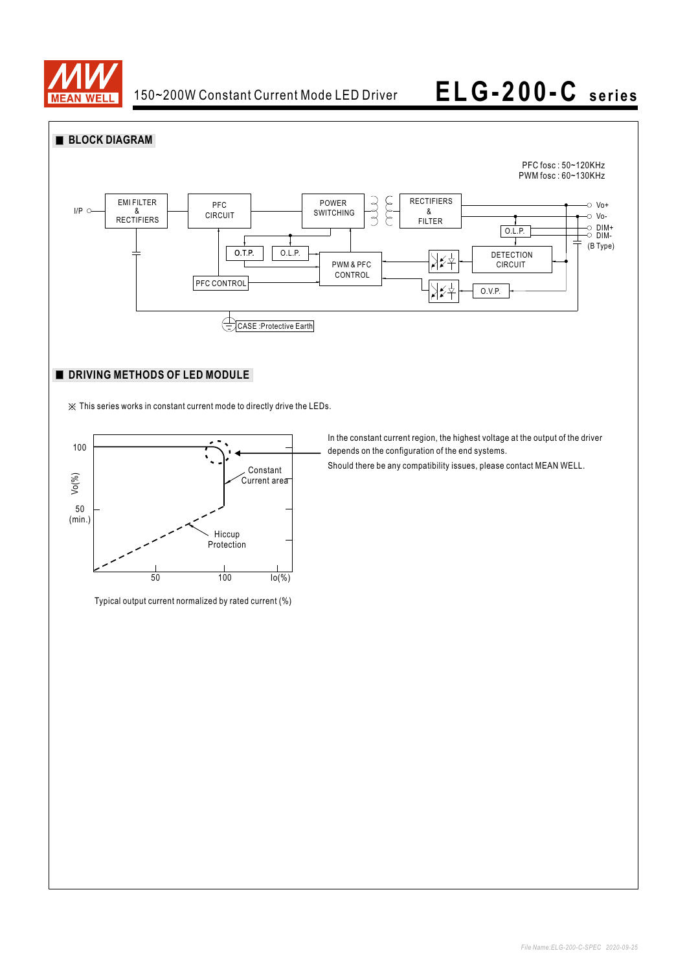



### **DRIVING METHODS OF LED MODULE**

※ This series works in constant current mode to directly drive the LEDs.



Typical output current normalized by rated current (%)

In the constant current region, the highest voltage at the output of the driver depends on the configuration of the end systems.

Should there be any compatibility issues, please contact MEAN WELL.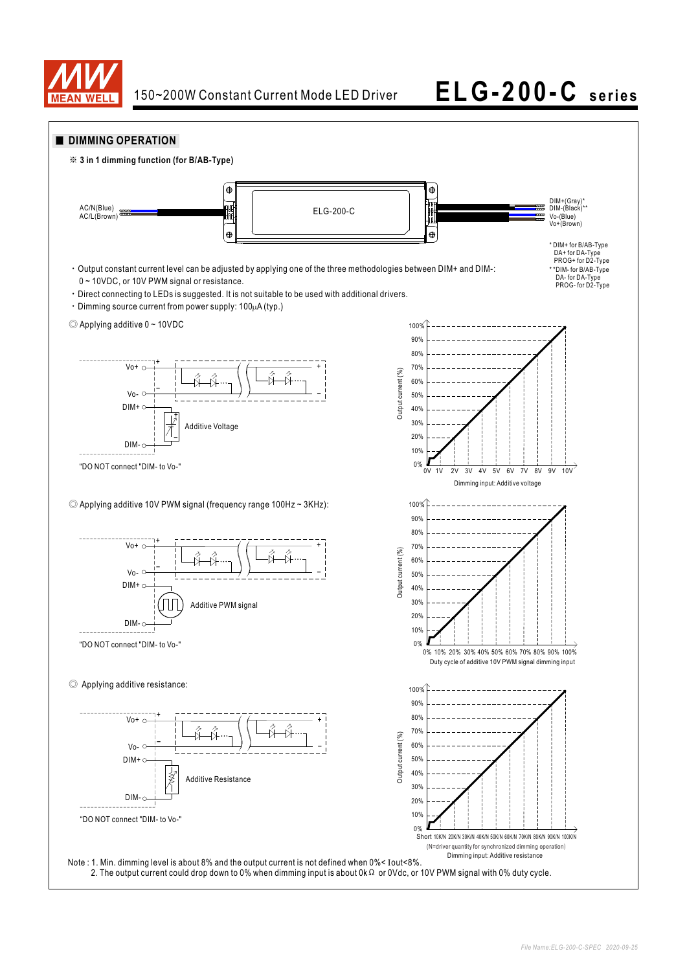

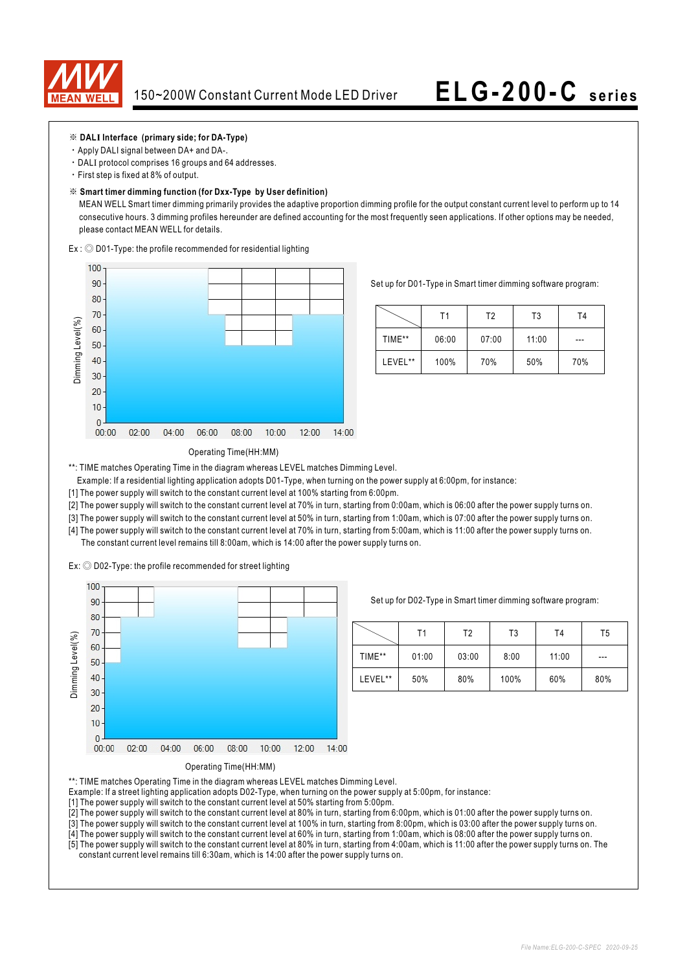

### ※ **DALI Interface (primary side; for DA-Type)**

- ‧Apply DALI signal between DA+ and DA-.
- ‧DALI protocol comprises 16 groups and 64 addresses.
- ‧First step is fixed at 8% of output.

### ※ **Smart timer dimming function (for Dxx-Type by User definition)**

 MEAN WELL Smart timer dimming primarily provides the adaptive proportion dimming profile for the output constant current level to perform up to 14 consecutive hours. 3 dimming profiles hereunder are defined accounting for the most frequently seen applications. If other options may be needed, please contact MEAN WELL for details.

Ex : ◎ D01-Type: the profile recommended for residential lighting



Set up for D01-Type in Smart timer dimming software program:

|         | Τ1    | T2    | T3    | T4  |
|---------|-------|-------|-------|-----|
| TIME**  | 06:00 | 07:00 | 11:00 | --- |
| LEVEL** | 100%  | 70%   | 50%   | 70% |

### Operating Time(HH:MM)

\*\*: TIME matches Operating Time in the diagram whereas LEVEL matches Dimming Level.

- Example: If a residential lighting application adopts D01-Type, when turning on the power supply at 6:00pm, for instance:
- [1] The power supply will switch to the constant current level at 100% starting from 6:00pm.
- [2] The power supply will switch to the constant current level at 70% in turn, starting from 0:00am, which is 06:00 after the power supply turns on.
- [3] The power supply will switch to the constant current level at 50% in turn, starting from 1:00am, which is 07:00 after the power supply turns on.
- [4] The power supply will switch to the constant current level at 70% in turn, starting from 5:00am, which is 11:00 after the power supply turns on. The constant current level remains till 8:00am, which is 14:00 after the power supply turns on.

Ex: ◎ D02-Type: the profile recommended for street lighting



Set up for D02-Type in Smart timer dimming software program:

|         | Τ1    | Т2    | T3   | T4    | T5  |
|---------|-------|-------|------|-------|-----|
| TIME**  | 01:00 | 03:00 | 8:00 | 11:00 | --- |
| LEVEL** | 50%   | 80%   | 100% | 60%   | 80% |



\*\*: TIME matches Operating Time in the diagram whereas LEVEL matches Dimming Level.

- Example: If a street lighting application adopts D02-Type, when turning on the power supply at 5:00pm, for instance:
- [1] The power supply will switch to the constant current level at 50% starting from 5:00pm.
- [2] The power supply will switch to the constant current level at 80% in turn, starting from 6:00pm, which is 01:00 after the power supply turns on.
- [3] The power supply will switch to the constant current level at 100% in turn, starting from 8:00pm, which is 03:00 after the power supply turns on.
- [4] The power supply will switch to the constant current level at 60% in turn, starting from 1:00am, which is 08:00 after the power supply turns on.
- [5] The power supply will switch to the constant current level at 80% in turn, starting from 4:00am, which is 11:00 after the power supply turns on. The constant current level remains till 6:30am, which is 14:00 after the power supply turns on.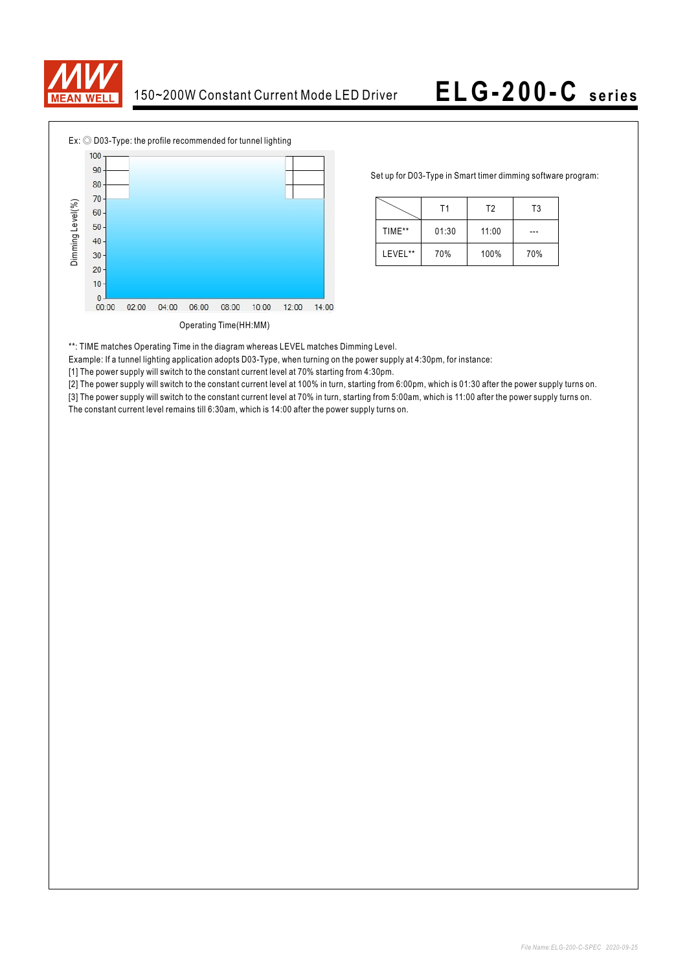



Set up for D03-Type in Smart timer dimming software program:

|         | Τ1    | T <sub>2</sub> | T <sub>3</sub> |  |
|---------|-------|----------------|----------------|--|
| TIME**  | 01:30 | 11:00          |                |  |
| LEVEL** | 70%   | 100%           | 70%            |  |

\*\*: TIME matches Operating Time in the diagram whereas LEVEL matches Dimming Level.

Example: If a tunnel lighting application adopts D03-Type, when turning on the power supply at 4:30pm, for instance:

[1] The power supply will switch to the constant current level at 70% starting from 4:30pm.

[2] The power supply will switch to the constant current level at 100% in turn, starting from 6:00pm, which is 01:30 after the power supply turns on.

[3] The power supply will switch to the constant current level at 70% in turn, starting from 5:00am, which is 11:00 after the power supply turns on. The constant current level remains till 6:30am, which is 14:00 after the power supply turns on.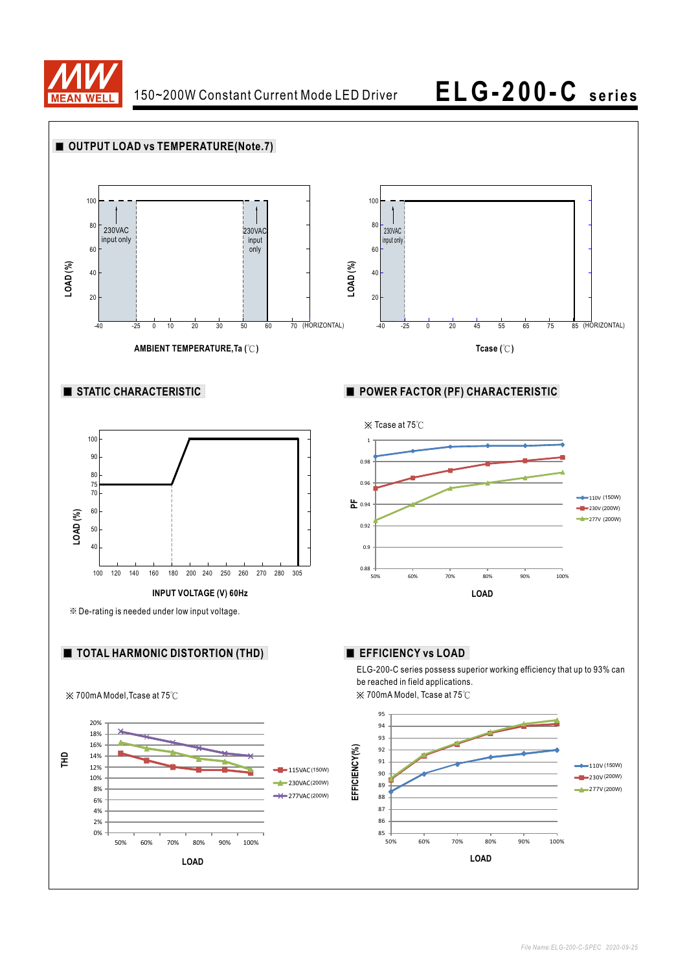

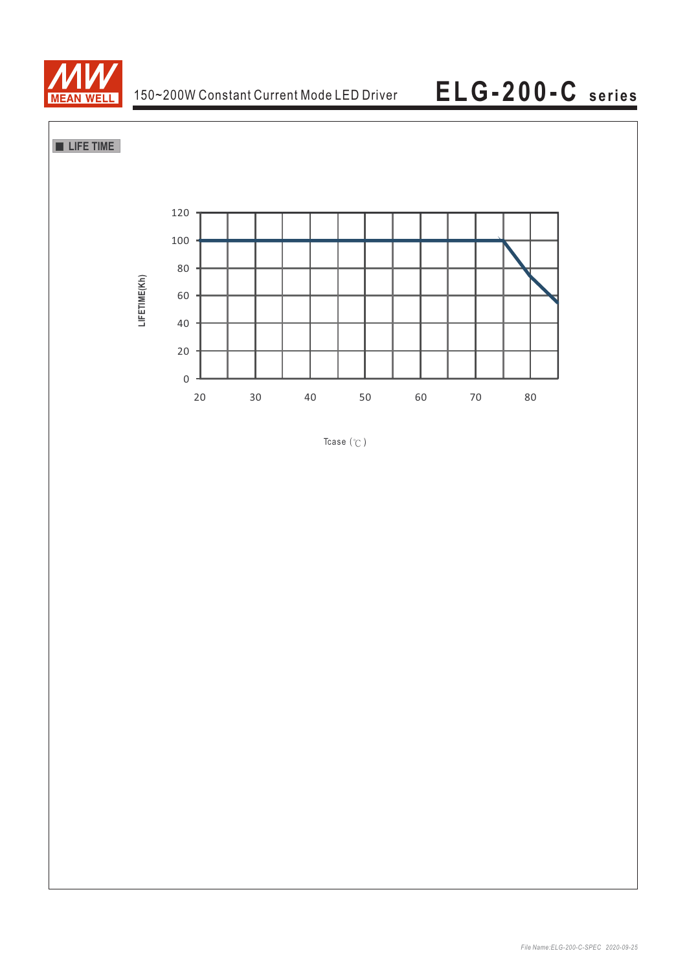



Tcase  $(°C)$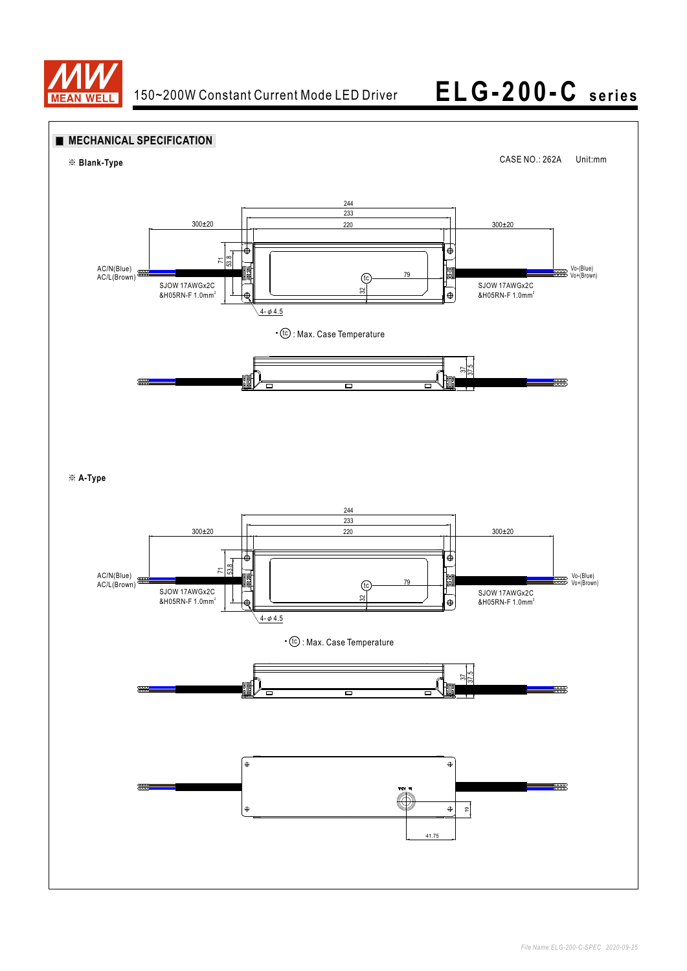

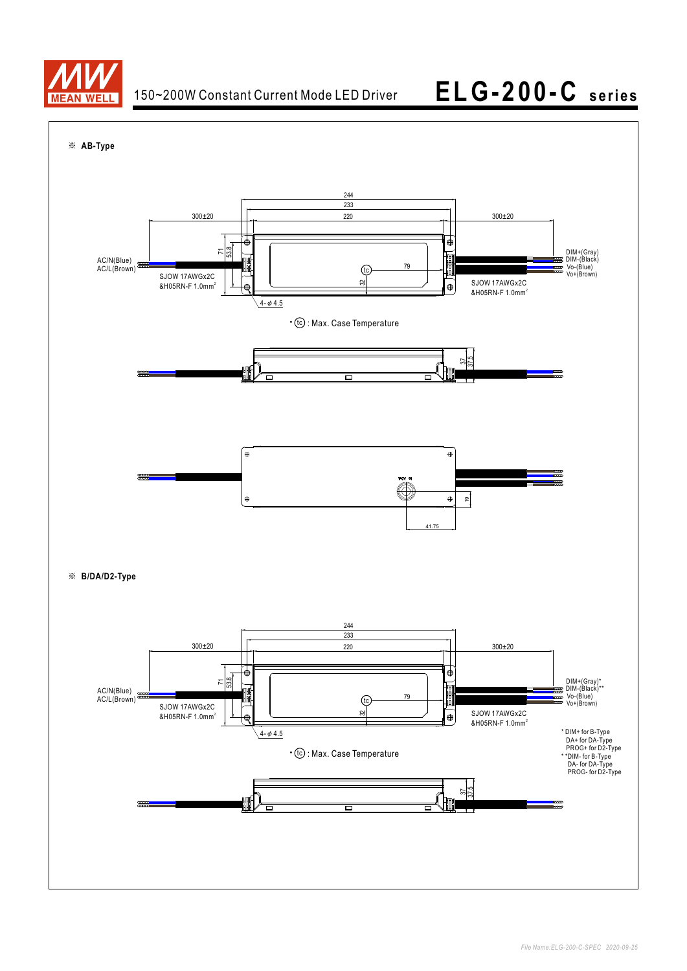